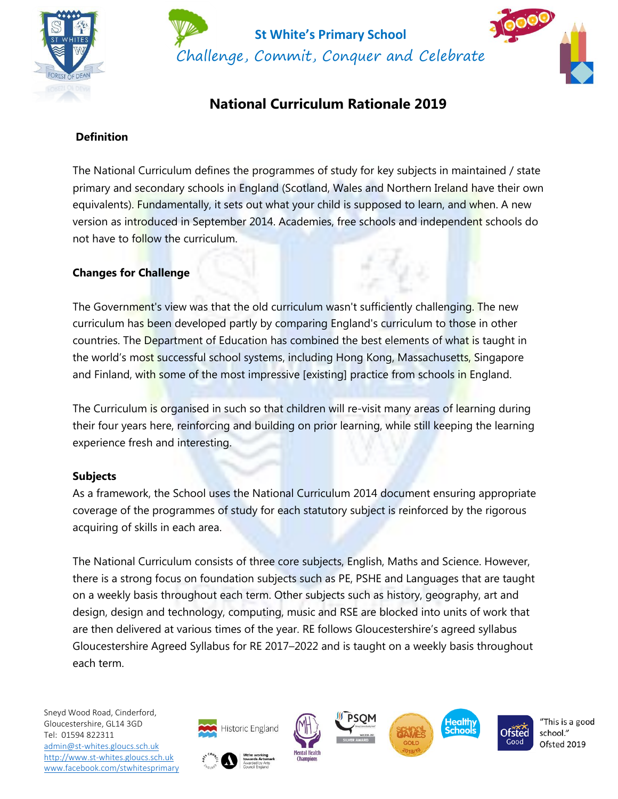



# **National Curriculum Rationale 2019**

# **Definition**

The National Curriculum defines the programmes of study for key subjects in maintained / state primary and secondary schools in England (Scotland, Wales and Northern Ireland have their own equivalents). Fundamentally, it sets out what your child is supposed to learn, and when. A new version as introduced in September 2014. Academies, free schools and independent schools do not have to follow the curriculum.

# **Changes for Challenge**

The Government's view was that the old curriculum wasn't sufficiently challenging. The new curriculum has been developed partly by comparing England's curriculum to those in other countries. The Department of Education has combined the best elements of what is taught in the world's most successful school systems, including Hong Kong, Massachusetts, Singapore and Finland, with some of the most impressive [existing] practice from schools in England.

The Curriculum is organised in such so that children will re-visit many areas of learning during their four years here, reinforcing and building on prior learning, while still keeping the learning experience fresh and interesting.

#### **Subjects**

As a framework, the School uses the National Curriculum 2014 document ensuring appropriate coverage of the programmes of study for each statutory subject is reinforced by the rigorous acquiring of skills in each area.

The National Curriculum consists of three core subjects, English, Maths and Science. However, there is a strong focus on foundation subjects such as PE, PSHE and Languages that are taught on a weekly basis throughout each term. Other subjects such as history, geography, art and design, design and technology, computing, music and RSE are blocked into units of work that are then delivered at various times of the year. RE follows Gloucestershire's agreed syllabus Gloucestershire Agreed Syllabus for RE 2017–2022 and is taught on a weekly basis throughout each term.

Sneyd Wood Road, Cinderford, Gloucestershire, GL14 3GD Tel: 01594 822311 [admin@st-whites.gloucs.sch.uk](mailto:admin@st-whites.gloucs.sch.uk) [http://www.st-whites.gloucs.sch.uk](http://www.st-whites.gloucs.sch.uk/) [www.facebook.com/stwhitesprimary](http://www.facebook.com/stwhitesprimary)











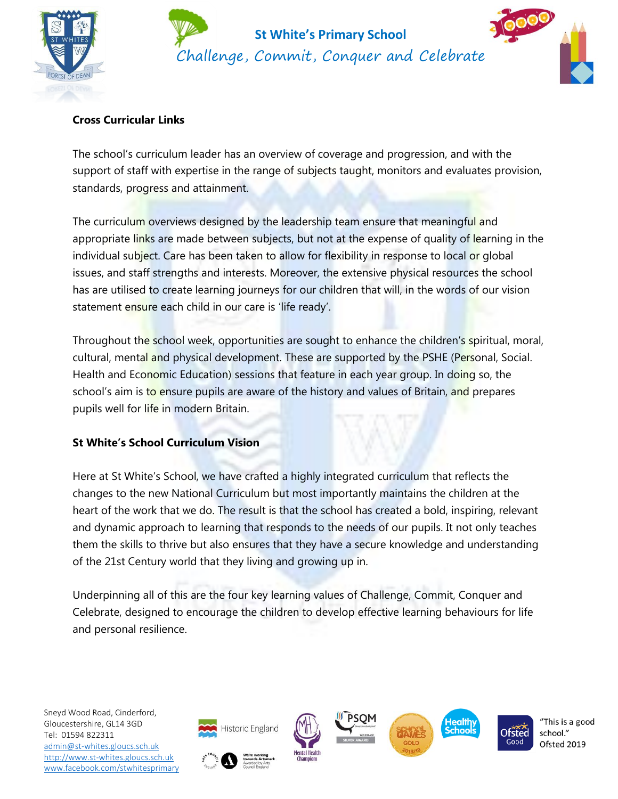



### **Cross Curricular Links**

The school's curriculum leader has an overview of coverage and progression, and with the support of staff with expertise in the range of subjects taught, monitors and evaluates provision, standards, progress and attainment.

The curriculum overviews designed by the leadership team ensure that meaningful and appropriate links are made between subjects, but not at the expense of quality of learning in the individual subject. Care has been taken to allow for flexibility in response to local or global issues, and staff strengths and interests. Moreover, the extensive physical resources the school has are utilised to create learning journeys for our children that will, in the words of our vision statement ensure each child in our care is 'life ready'.

Throughout the school week, opportunities are sought to enhance the children's spiritual, moral, cultural, mental and physical development. These are supported by the PSHE (Personal, Social. Health and Economic Education) sessions that feature in each year group. In doing so, the school's aim is to ensure pupils are aware of the history and values of Britain, and prepares pupils well for life in modern Britain.

#### **St White's School Curriculum Vision**

Here at St White's School, we have crafted a highly integrated curriculum that reflects the changes to the new National Curriculum but most importantly maintains the children at the heart of the work that we do. The result is that the school has created a bold, inspiring, relevant and dynamic approach to learning that responds to the needs of our pupils. It not only teaches them the skills to thrive but also ensures that they have a secure knowledge and understanding of the 21st Century world that they living and growing up in.

Underpinning all of this are the four key learning values of Challenge, Commit, Conquer and Celebrate, designed to encourage the children to develop effective learning behaviours for life and personal resilience.

Sneyd Wood Road, Cinderford, Gloucestershire, GL14 3GD Tel: 01594 822311 [admin@st-whites.gloucs.sch.uk](mailto:admin@st-whites.gloucs.sch.uk) [http://www.st-whites.gloucs.sch.uk](http://www.st-whites.gloucs.sch.uk/) [www.facebook.com/stwhitesprimary](http://www.facebook.com/stwhitesprimary)













"This is a good school." Ofsted 2019